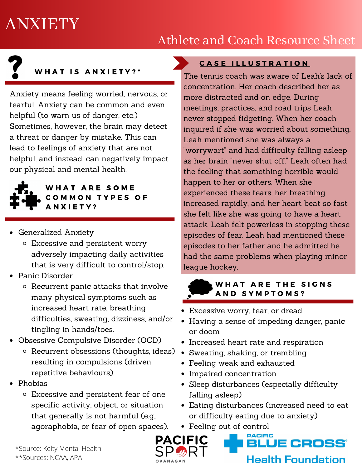# ANXIETY

# Athlete and Coach Resource Sheet

# WHAT IS ANXIETY?\*

Anxiety means feeling worried, nervous, or fearful. Anxiety can be common and even helpful (to warn us of danger, etc.) Sometimes, however, the brain may detect a threat or danger by mistake. This can lead to feelings of anxiety that are not helpful, and instead, can negatively impact our physical and mental health.



#### WHAT ARE SOME COMMON TYPES OF A N X I E T Y ?

- Generalized Anxiety
	- Excessive and persistent worry adversely impacting daily activities that is very difficult to control/stop.
- Panic Disorder
	- o Recurrent panic attacks that involve many physical symptoms such as increased heart rate, breathing difficulties, sweating, dizziness, and/or tingling in hands/toes.
- Obsessive Compulsive Disorder (OCD)
	- o Recurrent obsessions (thoughts, ideas) resulting in compulsions (driven repetitive behaviours).
- Phobias
	- Excessive and persistent fear of one specific activity, object, or situation that generally is not harmful (e.g., agoraphobia, or fear of open spaces).

#### CASE ILLUSTRATION

The tennis coach was aware of Leah's lack of concentration. Her coach described her as more distracted and on edge. During meetings, practices, and road trips Leah never stopped fidgeting. When her coach inquired if she was worried about something, Leah mentioned she was always a "worrywart" and had difficulty falling asleep as her brain "never shut off." Leah often had the feeling that something horrible would happen to her or others. When she experienced these fears, her breathing increased rapidly, and her heart beat so fast she felt like she was going to have a heart attack. Leah felt powerless in stopping these episodes of fear. Leah had mentioned these episodes to her father and he admitted he had the same problems when playing minor league hockey.

#### WHAT ARE THE SIGNS AND SYMPTOMS?

- Excessive worry, fear, or dread
- Having a sense of impeding danger, panic or doom
- Increased heart rate and respiration
- Sweating, shaking, or trembling
- Feeling weak and exhausted
- Impaired concentration
- Sleep disturbances (especially difficulty falling asleep)
- Eating disturbances (increased need to eat or difficulty eating due to anxiety)

JE CROSS'

**Health Foundation** 

Feeling out of control



\*Source: Kelty Mental Health \*\*Sources: NCAA, APA